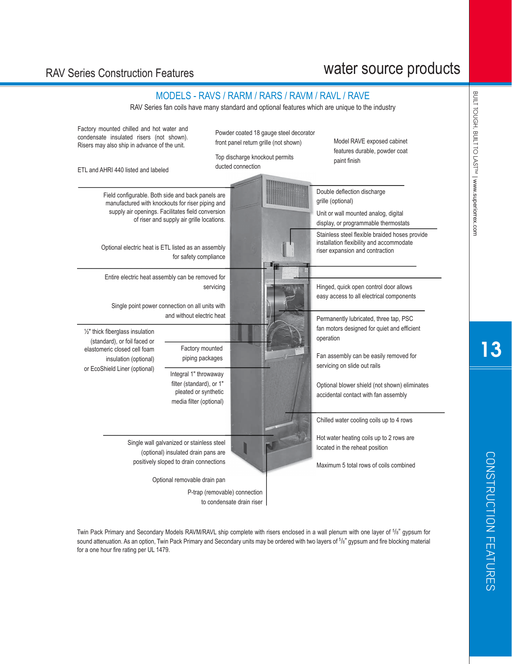# water source products

### RAV Series Construction Features

| RAV Series fan coils have many standard and optional features which are unique to the industry                                                                                                                                                                                                  |                                                                                 |                                                                                                                                  |
|-------------------------------------------------------------------------------------------------------------------------------------------------------------------------------------------------------------------------------------------------------------------------------------------------|---------------------------------------------------------------------------------|----------------------------------------------------------------------------------------------------------------------------------|
| Factory mounted chilled and hot water and<br>condensate insulated risers (not shown).<br>Risers may also ship in advance of the unit.                                                                                                                                                           | Powder coated 18 gauge steel decorator<br>front panel return grille (not shown) | Model RAVE exposed cabinet<br>features durable, powder coat                                                                      |
| ETL and AHRI 440 listed and labeled                                                                                                                                                                                                                                                             | Top discharge knockout permits<br>ducted connection                             | paint finish                                                                                                                     |
| Field configurable. Both side and back panels are<br>manufactured with knockouts for riser piping and<br>supply air openings. Facilitates field conversion<br>of riser and supply air grille locations.                                                                                         |                                                                                 | Double deflection discharge<br>grille (optional)<br>Unit or wall mounted analog, digital<br>display, or programmable thermostats |
| Optional electric heat is ETL listed as an assembly<br>for safety compliance                                                                                                                                                                                                                    |                                                                                 | Stainless steel flexible braided hoses provide<br>installation flexibility and accommodate<br>riser expansion and contraction    |
| Entire electric heat assembly can be removed for<br>Single point power connection on all units with                                                                                                                                                                                             | servicing                                                                       | Hinged, quick open control door allows<br>easy access to all electrical components                                               |
| and without electric heat<br>$\frac{1}{2}$ " thick fiberglass insulation<br>(standard), or foil faced or                                                                                                                                                                                        |                                                                                 | Permanently lubricated, three tap, PSC<br>fan motors designed for quiet and efficient<br>operation                               |
| Factory mounted<br>elastomeric closed cell foam<br>piping packages<br>insulation (optional)<br>or EcoShield Liner (optional)                                                                                                                                                                    |                                                                                 | Fan assembly can be easily removed for<br>servicing on slide out rails                                                           |
|                                                                                                                                                                                                                                                                                                 |                                                                                 | Optional blower shield (not shown) eliminates<br>accidental contact with fan assembly                                            |
|                                                                                                                                                                                                                                                                                                 |                                                                                 | Chilled water cooling coils up to 4 rows                                                                                         |
|                                                                                                                                                                                                                                                                                                 |                                                                                 | located in the reheat position                                                                                                   |
|                                                                                                                                                                                                                                                                                                 |                                                                                 | Maximum 5 total rows of coils combined                                                                                           |
|                                                                                                                                                                                                                                                                                                 |                                                                                 |                                                                                                                                  |
| P-trap (removable) connection                                                                                                                                                                                                                                                                   |                                                                                 |                                                                                                                                  |
| Integral 1" throwaway<br>filter (standard), or 1"<br>pleated or synthetic<br>media filter (optional)<br>Single wall galvanized or stainless steel<br>(optional) insulated drain pans are<br>positively sloped to drain connections<br>Optional removable drain pan<br>to condensate drain riser | Hot water heating coils up to 2 rows are                                        |                                                                                                                                  |

MODELS - RAVS / RARM / RARS / RAVM / RAVL / RAVE

Twin Pack Primary and Secondary Models RAVM/RAVL ship complete with risers enclosed in a wall plenum with one layer of 5/6" gypsum for sound attenuation. As an option, Twin Pack Primary and Secondary units may be ordered with two layers of 5/8" gypsum and fire blocking material for a one hour fire rating per UL 1479.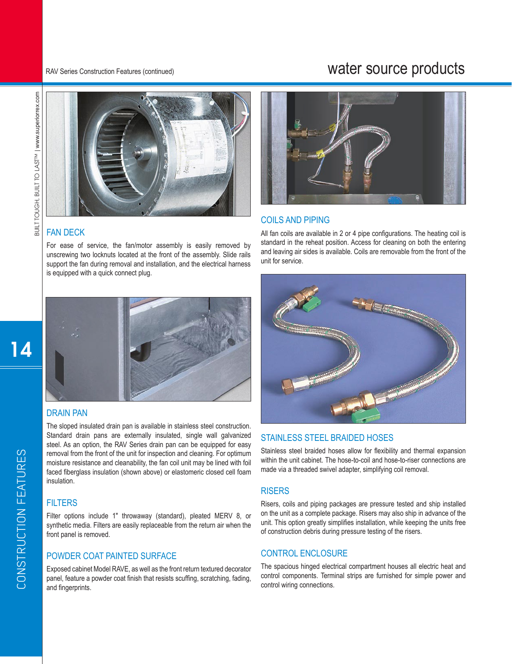## water source products



RAV Series Construction Features (continued)

#### FAN DECK

For ease of service, the fan/motor assembly is easily removed by unscrewing two locknuts located at the front of the assembly. Slide rails support the fan during removal and installation, and the electrical harness is equipped with a quick connect plug.



#### DRAIN PAN

The sloped insulated drain pan is available in stainless steel construction. Standard drain pans are externally insulated, single wall galvanized steel. As an option, the RAV Series drain pan can be equipped for easy removal from the front of the unit for inspection and cleaning. For optimum moisture resistance and cleanability, the fan coil unit may be lined with foil faced fiberglass insulation (shown above) or elastomeric closed cell foam insulation.

#### **FILTERS**

Filter options include 1" throwaway (standard), pleated MERV 8, or synthetic media. Filters are easily replaceable from the return air when the front panel is removed.

#### POWDER COAT PAINTED SURFACE

Exposed cabinet Model RAVE, as well as the front return textured decorator panel, feature a powder coat finish that resists scuffing, scratching, fading, and fingerprints.



#### COILS AND PIPING

All fan coils are available in 2 or 4 pipe configurations. The heating coil is standard in the reheat position. Access for cleaning on both the entering and leaving air sides is available. Coils are removable from the front of the unit for service.



#### STAINLESS STEEL BRAIDED HOSES

Stainless steel braided hoses allow for flexibility and thermal expansion within the unit cabinet. The hose-to-coil and hose-to-riser connections are made via a threaded swivel adapter, simplifying coil removal.

#### **RISERS**

Risers, coils and piping packages are pressure tested and ship installed on the unit as a complete package. Risers may also ship in advance of the unit. This option greatly simplifies installation, while keeping the units free of construction debris during pressure testing of the risers.

#### CONTROL ENCLOSURE

The spacious hinged electrical compartment houses all electric heat and control components. Terminal strips are furnished for simple power and control wiring connections.

14